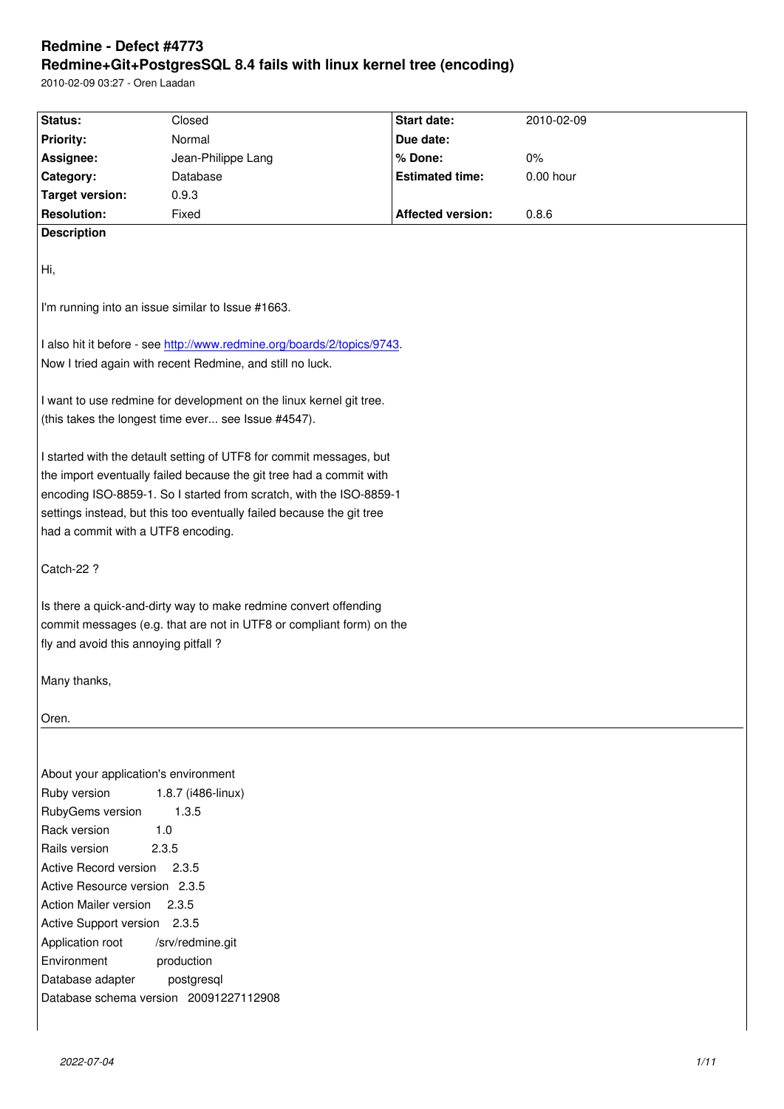#### **Redmine+Git+PostgresSQL 8.4 fails with linux kernel tree (encoding)**

2010-02-09 03:27 - Oren Laadan

| Normal<br>Due date:<br><b>Priority:</b><br>Jean-Philippe Lang<br>% Done:<br>Assignee:<br>$0\%$ |  |  |  |
|------------------------------------------------------------------------------------------------|--|--|--|
|                                                                                                |  |  |  |
|                                                                                                |  |  |  |
| <b>Estimated time:</b><br>$0.00$ hour<br>Category:<br>Database                                 |  |  |  |
| <b>Target version:</b><br>0.9.3                                                                |  |  |  |
| <b>Resolution:</b><br>Fixed<br><b>Affected version:</b><br>0.8.6                               |  |  |  |
| <b>Description</b>                                                                             |  |  |  |
|                                                                                                |  |  |  |
| Hi,                                                                                            |  |  |  |
|                                                                                                |  |  |  |
| I'm running into an issue similar to Issue #1663.                                              |  |  |  |
|                                                                                                |  |  |  |
| I also hit it before - see http://www.redmine.org/boards/2/topics/9743.                        |  |  |  |
| Now I tried again with recent Redmine, and still no luck.                                      |  |  |  |
|                                                                                                |  |  |  |
| I want to use redmine for development on the linux kernel git tree.                            |  |  |  |
| (this takes the longest time ever see Issue #4547).                                            |  |  |  |
|                                                                                                |  |  |  |
| I started with the detault setting of UTF8 for commit messages, but                            |  |  |  |
| the import eventually failed because the git tree had a commit with                            |  |  |  |
| encoding ISO-8859-1. So I started from scratch, with the ISO-8859-1                            |  |  |  |
| settings instead, but this too eventually failed because the git tree                          |  |  |  |
| had a commit with a UTF8 encoding.                                                             |  |  |  |
|                                                                                                |  |  |  |
| Catch-22 ?                                                                                     |  |  |  |
|                                                                                                |  |  |  |
| Is there a quick-and-dirty way to make redmine convert offending                               |  |  |  |
| commit messages (e.g. that are not in UTF8 or compliant form) on the                           |  |  |  |
| fly and avoid this annoying pitfall?                                                           |  |  |  |
|                                                                                                |  |  |  |
| Many thanks,                                                                                   |  |  |  |
|                                                                                                |  |  |  |
| Oren.                                                                                          |  |  |  |
|                                                                                                |  |  |  |
| About your application's environment                                                           |  |  |  |
| Ruby version<br>1.8.7 (i486-linux)                                                             |  |  |  |
| RubyGems version<br>1.3.5                                                                      |  |  |  |
| Rack version<br>1.0                                                                            |  |  |  |
| Rails version<br>2.3.5                                                                         |  |  |  |
| Active Record version<br>2.3.5                                                                 |  |  |  |
| Active Resource version 2.3.5                                                                  |  |  |  |
| <b>Action Mailer version</b><br>2.3.5                                                          |  |  |  |
| Active Support version 2.3.5                                                                   |  |  |  |
| Application root<br>/srv/redmine.git                                                           |  |  |  |
| Environment<br>production                                                                      |  |  |  |
| Database adapter<br>postgresql                                                                 |  |  |  |
| Database schema version 20091227112908                                                         |  |  |  |
|                                                                                                |  |  |  |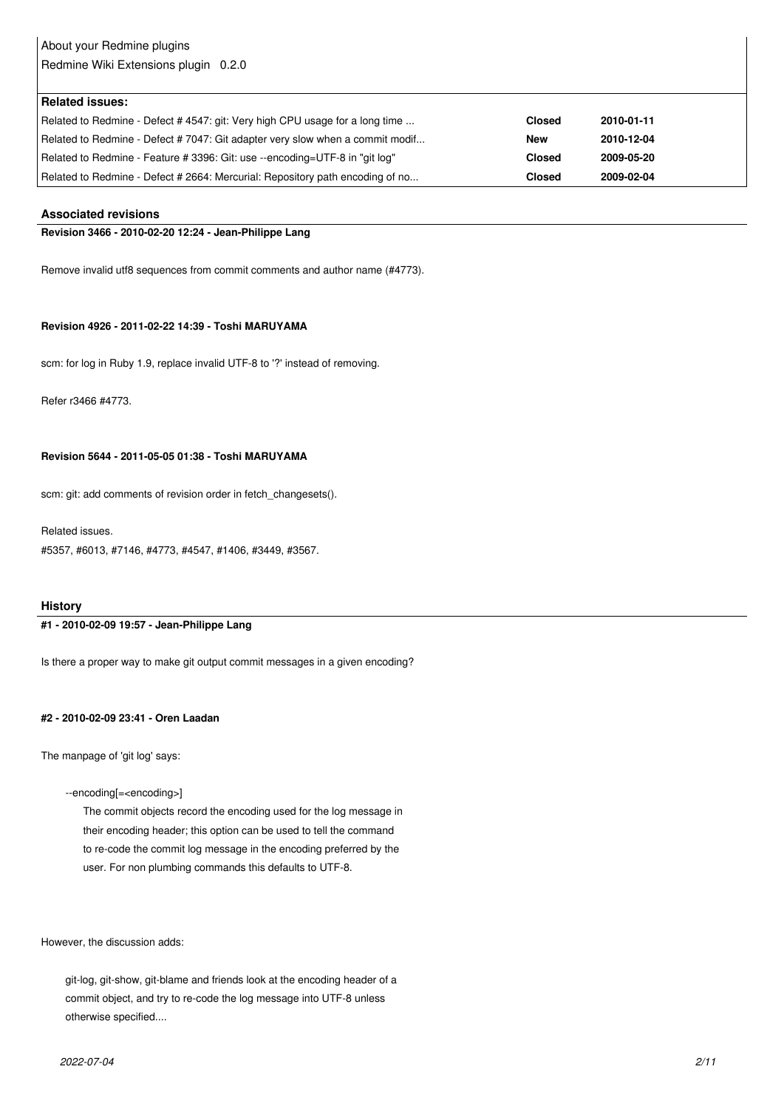# About your Redmine plugins

Redmine Wiki Extensions plugin 0.2.0

| <b>Related issues:</b>                                                        |               |            |
|-------------------------------------------------------------------------------|---------------|------------|
| Related to Redmine - Defect # 4547: git: Very high CPU usage for a long time  | <b>Closed</b> | 2010-01-11 |
| Related to Redmine - Defect #7047: Git adapter very slow when a commit modif  | <b>New</b>    | 2010-12-04 |
| Related to Redmine - Feature # 3396: Git: use --encoding=UTF-8 in "git log"   | <b>Closed</b> | 2009-05-20 |
| Related to Redmine - Defect # 2664: Mercurial: Repository path encoding of no | <b>Closed</b> | 2009-02-04 |

#### **Associated revisions**

#### **Revision 3466 - 2010-02-20 12:24 - Jean-Philippe Lang**

Remove invalid utf8 sequences from commit comments and author name (#4773).

#### **Revision 4926 - 2011-02-22 14:39 - Toshi MARUYAMA**

scm: for log in Ruby 1.9, replace invalid UTF-8 to '?' instead of removing.

Refer r3466 #4773.

#### **Revision 5644 - 2011-05-05 01:38 - Toshi MARUYAMA**

scm: git: add comments of revision order in fetch\_changesets().

Related issues.

#5357, #6013, #7146, #4773, #4547, #1406, #3449, #3567.

#### **History**

#### **#1 - 2010-02-09 19:57 - Jean-Philippe Lang**

Is there a proper way to make git output commit messages in a given encoding?

#### **#2 - 2010-02-09 23:41 - Oren Laadan**

The manpage of 'git log' says:

--encoding[=<encoding>]

 The commit objects record the encoding used for the log message in their encoding header; this option can be used to tell the command to re-code the commit log message in the encoding preferred by the user. For non plumbing commands this defaults to UTF-8.

However, the discussion adds:

 git-log, git-show, git-blame and friends look at the encoding header of a commit object, and try to re-code the log message into UTF-8 unless otherwise specified....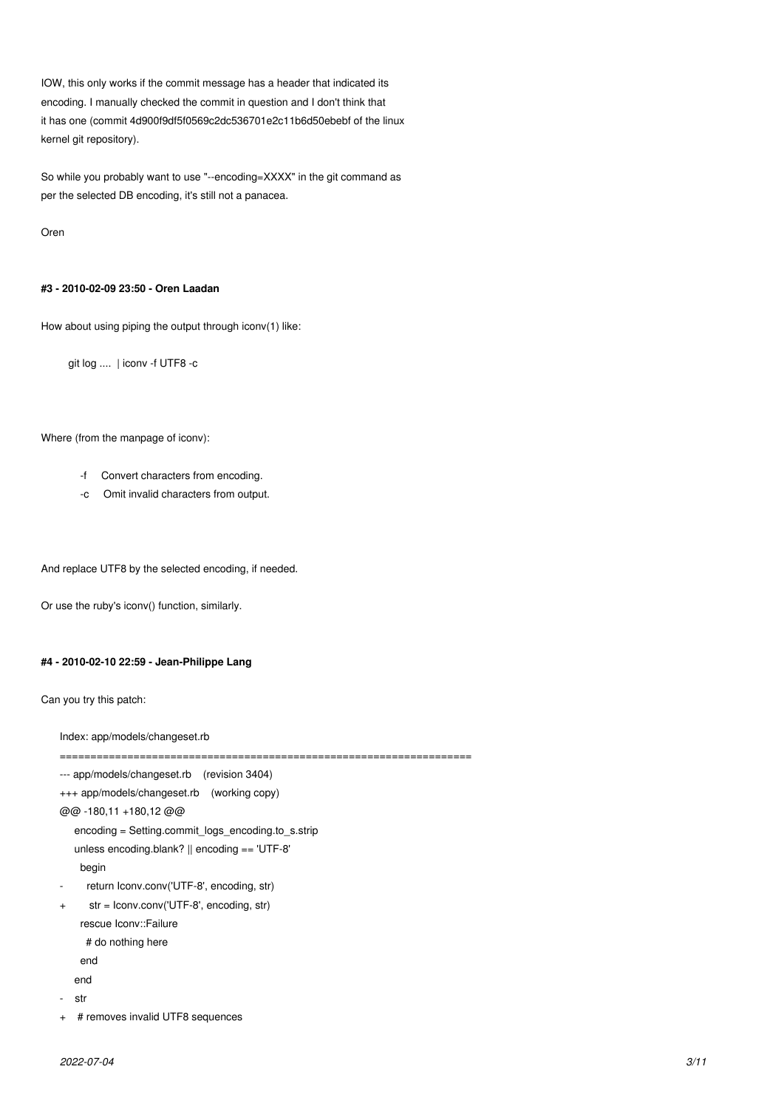IOW, this only works if the commit message has a header that indicated its encoding. I manually checked the commit in question and I don't think that it has one (commit 4d900f9df5f0569c2dc536701e2c11b6d50ebebf of the linux kernel git repository).

So while you probably want to use "--encoding=XXXX" in the git command as per the selected DB encoding, it's still not a panacea.

Oren

#### **#3 - 2010-02-09 23:50 - Oren Laadan**

How about using piping the output through iconv(1) like:

git log .... | iconv -f UTF8 -c

#### Where (from the manpage of iconv):

- -f Convert characters from encoding.
- -c Omit invalid characters from output.

And replace UTF8 by the selected encoding, if needed.

Or use the ruby's iconv() function, similarly.

#### **#4 - 2010-02-10 22:59 - Jean-Philippe Lang**

Can you try this patch:

Index: app/models/changeset.rb

```
--- app/models/changeset.rb (revision 3404)
+++ app/models/changeset.rb (working copy)
@@ -180,11 +180,12 @@
    encoding = Setting.commit_logs_encoding.to_s.strip
    unless encoding.blank? || encoding == 'UTF-8'
     begin
     return Iconv.conv('UTF-8', encoding, str)
+ str = Iconv.conv('UTF-8', encoding, str)
     rescue Iconv::Failure
     # do nothing here
     end
    end
   str
```
===================================================================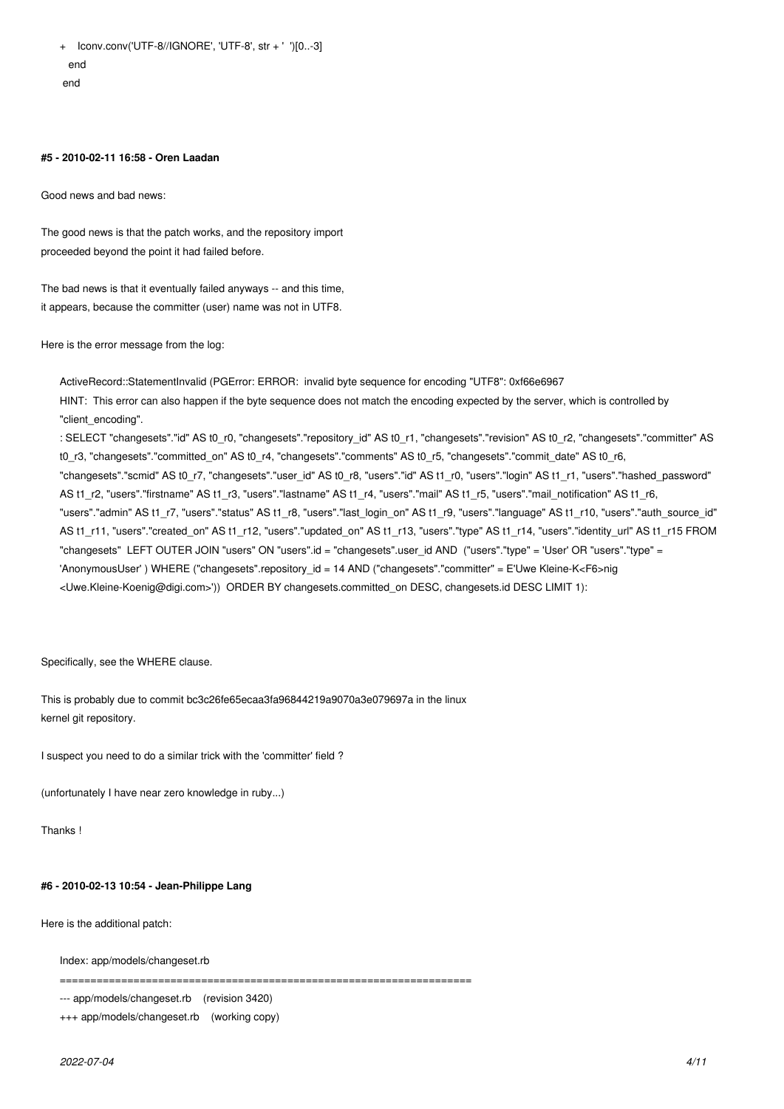+ Iconv.conv('UTF-8//IGNORE', 'UTF-8', str + ' ')[0..-3] end end

#### **#5 - 2010-02-11 16:58 - Oren Laadan**

Good news and bad news:

The good news is that the patch works, and the repository import proceeded beyond the point it had failed before.

The bad news is that it eventually failed anyways -- and this time, it appears, because the committer (user) name was not in UTF8.

Here is the error message from the log:

ActiveRecord::StatementInvalid (PGError: ERROR: invalid byte sequence for encoding "UTF8": 0xf66e6967 HINT: This error can also happen if the byte sequence does not match the encoding expected by the server, which is controlled by "client\_encoding". : SELECT "changesets"."id" AS t0\_r0, "changesets"."repository\_id" AS t0\_r1, "changesets"."revision" AS t0\_r2, "changesets"."committer" AS t0\_r3, "changesets"."committed\_on" AS t0\_r4, "changesets"."comments" AS t0\_r5, "changesets"."commit\_date" AS t0\_r6, "changesets"."scmid" AS t0\_r7, "changesets"."user\_id" AS t0\_r8, "users"."id" AS t1\_r0, "users"."login" AS t1\_r1, "users"."hashed\_password" AS t1\_r2, "users"."firstname" AS t1\_r3, "users"."lastname" AS t1\_r4, "users"."mail" AS t1\_r5, "users"."mail\_notification" AS t1\_r6, "users"."admin" AS t1\_r7, "users"."status" AS t1\_r8, "users"."last\_login\_on" AS t1\_r9, "users"."language" AS t1\_r10, "users"."auth\_source\_id" AS t1\_r11, "users"."created\_on" AS t1\_r12, "users"."updated\_on" AS t1\_r13, "users"."type" AS t1\_r14, "users"."identity\_url" AS t1\_r15 FROM

"changesets" LEFT OUTER JOIN "users" ON "users".id = "changesets".user\_id AND ("users"."type" = 'User' OR "users"."type" = 'AnonymousUser' ) WHERE ("changesets".repository\_id = 14 AND ("changesets"."committer" = E'Uwe Kleine-K<F6>nig

<Uwe.Kleine-Koenig@digi.com>')) ORDER BY changesets.committed\_on DESC, changesets.id DESC LIMIT 1):

Specifically, see the WHERE clause.

This is probably due to commit bc3c26fe65ecaa3fa96844219a9070a3e079697a in the linux kernel git repository.

I suspect you need to do a similar trick with the 'committer' field ?

(unfortunately I have near zero knowledge in ruby...)

Thanks !

#### **#6 - 2010-02-13 10:54 - Jean-Philippe Lang**

Here is the additional patch:

Index: app/models/changeset.rb

===================================================================

--- app/models/changeset.rb (revision 3420)

+++ app/models/changeset.rb (working copy)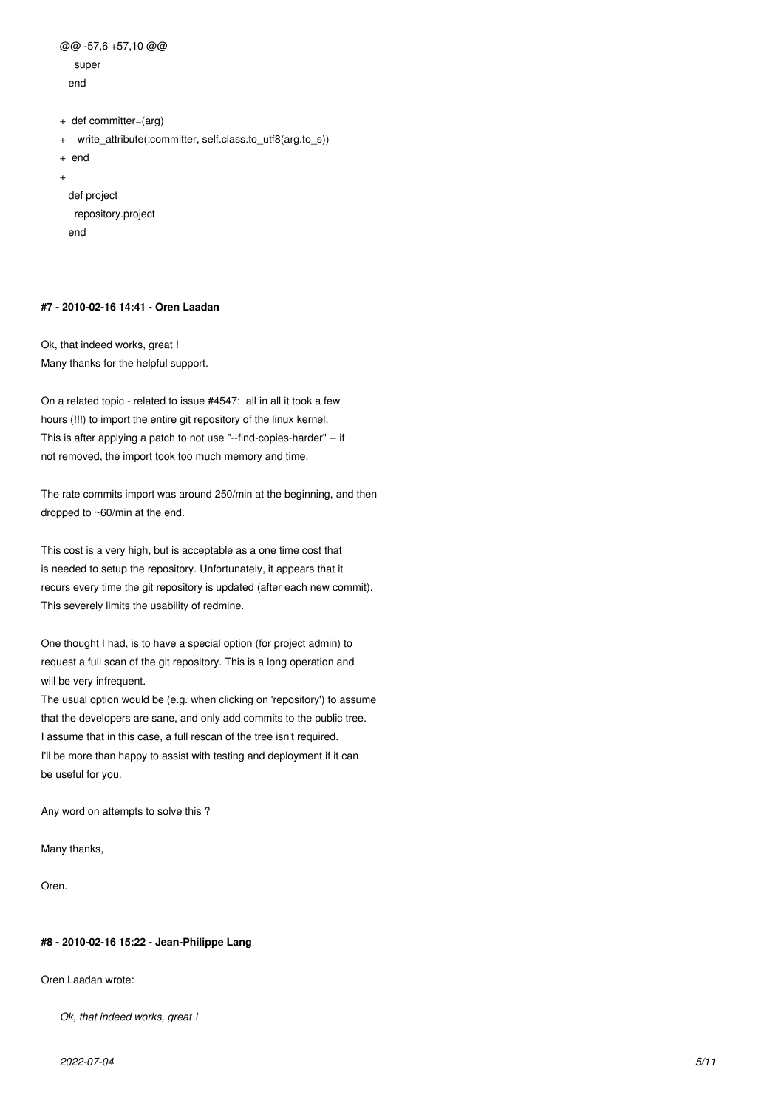```
@@ -57,6 +57,10 @@
    super
  end
+ def committer=(arg)
+ write_attribute(:committer, self.class.to_utf8(arg.to_s))
+ end
+ 
  def project
    repository.project
```
#### **#7 - 2010-02-16 14:41 - Oren Laadan**

end

Ok, that indeed works, great ! Many thanks for the helpful support.

On a related topic - related to issue #4547: all in all it took a few hours (!!!) to import the entire git repository of the linux kernel. This is after applying a patch to not use "--find-copies-harder" -- if not removed, the import took too much memory and time.

The rate commits import was around 250/min at the beginning, and then dropped to ~60/min at the end.

This cost is a very high, but is acceptable as a one time cost that is needed to setup the repository. Unfortunately, it appears that it recurs every time the git repository is updated (after each new commit). This severely limits the usability of redmine.

One thought I had, is to have a special option (for project admin) to request a full scan of the git repository. This is a long operation and will be very infrequent.

The usual option would be (e.g. when clicking on 'repository') to assume that the developers are sane, and only add commits to the public tree. I assume that in this case, a full rescan of the tree isn't required. I'll be more than happy to assist with testing and deployment if it can be useful for you.

Any word on attempts to solve this ?

Many thanks,

Oren.

#### **#8 - 2010-02-16 15:22 - Jean-Philippe Lang**

Oren Laadan wrote:

*Ok, that indeed works, great !*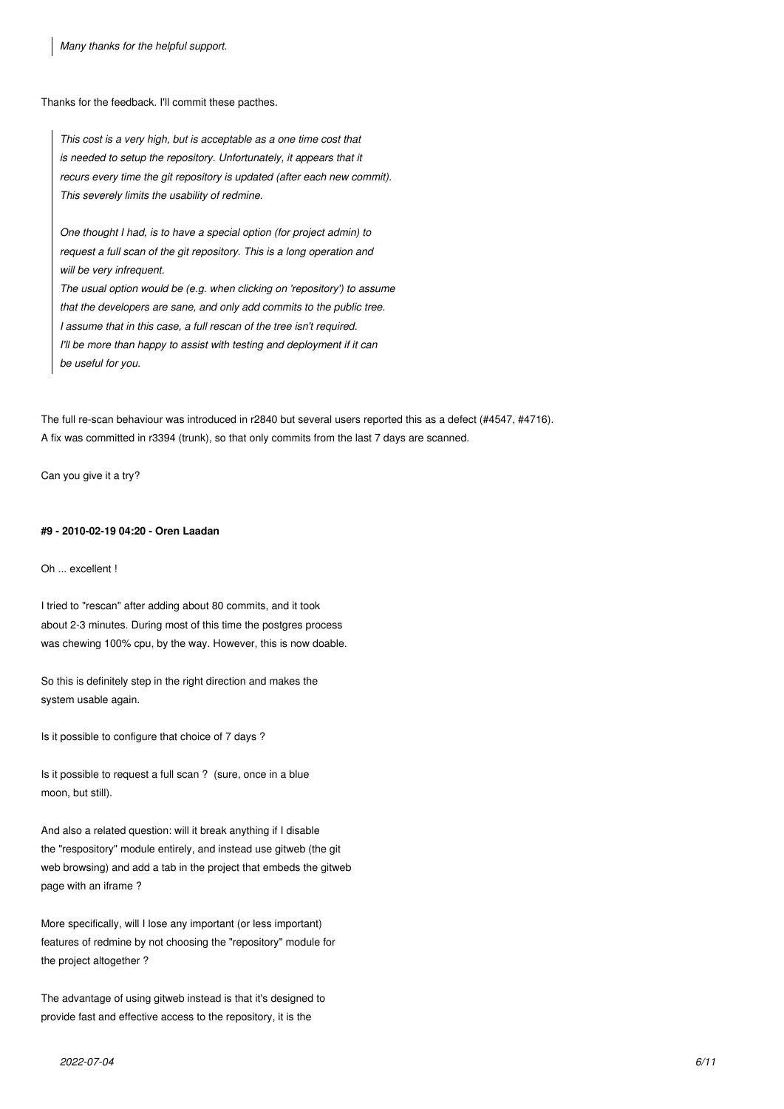*Many thanks for the helpful support.*

Thanks for the feedback. I'll commit these pacthes.

*This cost is a very high, but is acceptable as a one time cost that is needed to setup the repository. Unfortunately, it appears that it recurs every time the git repository is updated (after each new commit). This severely limits the usability of redmine.*

*One thought I had, is to have a special option (for project admin) to request a full scan of the git repository. This is a long operation and will be very infrequent.*

*The usual option would be (e.g. when clicking on 'repository') to assume that the developers are sane, and only add commits to the public tree. I assume that in this case, a full rescan of the tree isn't required. I'll be more than happy to assist with testing and deployment if it can be useful for you.*

The full re-scan behaviour was introduced in r2840 but several users reported this as a defect (#4547, #4716). A fix was committed in r3394 (trunk), so that only commits from the last 7 days are scanned.

Can you give it a try?

#### **#9 - 2010-02-19 04:20 - Oren Laadan**

Oh ... excellent !

I tried to "rescan" after adding about 80 commits, and it took about 2-3 minutes. During most of this time the postgres process was chewing 100% cpu, by the way. However, this is now doable.

So this is definitely step in the right direction and makes the system usable again.

Is it possible to configure that choice of 7 days ?

Is it possible to request a full scan ? (sure, once in a blue moon, but still).

And also a related question: will it break anything if I disable the "respository" module entirely, and instead use gitweb (the git web browsing) and add a tab in the project that embeds the gitweb page with an iframe ?

More specifically, will I lose any important (or less important) features of redmine by not choosing the "repository" module for the project altogether ?

The advantage of using gitweb instead is that it's designed to provide fast and effective access to the repository, it is the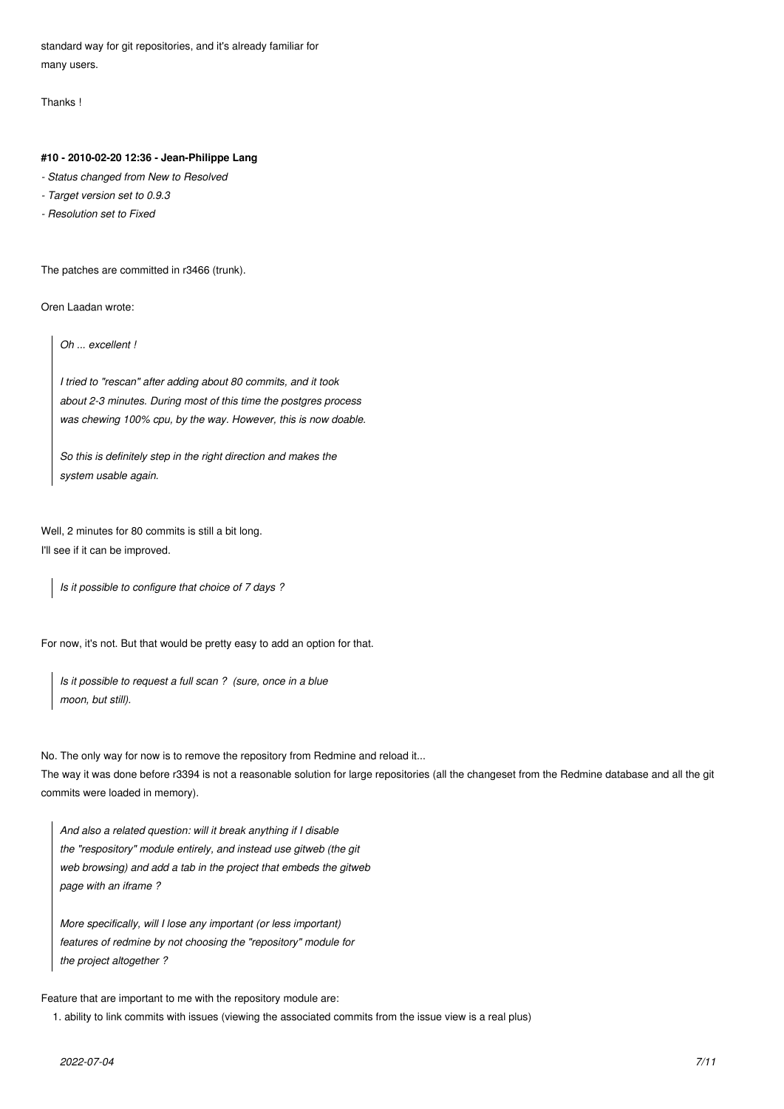standard way for git repositories, and it's already familiar for many users.

Thanks !

#### **#10 - 2010-02-20 12:36 - Jean-Philippe Lang**

- *Status changed from New to Resolved*
- *Target version set to 0.9.3*
- *Resolution set to Fixed*

The patches are committed in r3466 (trunk).

Oren Laadan wrote:

*Oh ... excellent !*

*I tried to "rescan" after adding about 80 commits, and it took about 2-3 minutes. During most of this time the postgres process was chewing 100% cpu, by the way. However, this is now doable.*

*So this is definitely step in the right direction and makes the system usable again.*

Well, 2 minutes for 80 commits is still a bit long. I'll see if it can be improved.

*Is it possible to configure that choice of 7 days ?*

For now, it's not. But that would be pretty easy to add an option for that.

*Is it possible to request a full scan ? (sure, once in a blue moon, but still).*

No. The only way for now is to remove the repository from Redmine and reload it...

The way it was done before r3394 is not a reasonable solution for large repositories (all the changeset from the Redmine database and all the git commits were loaded in memory).

*And also a related question: will it break anything if I disable the "respository" module entirely, and instead use gitweb (the git web browsing) and add a tab in the project that embeds the gitweb page with an iframe ?*

*More specifically, will I lose any important (or less important) features of redmine by not choosing the "repository" module for the project altogether ?*

Feature that are important to me with the repository module are:

1. ability to link commits with issues (viewing the associated commits from the issue view is a real plus)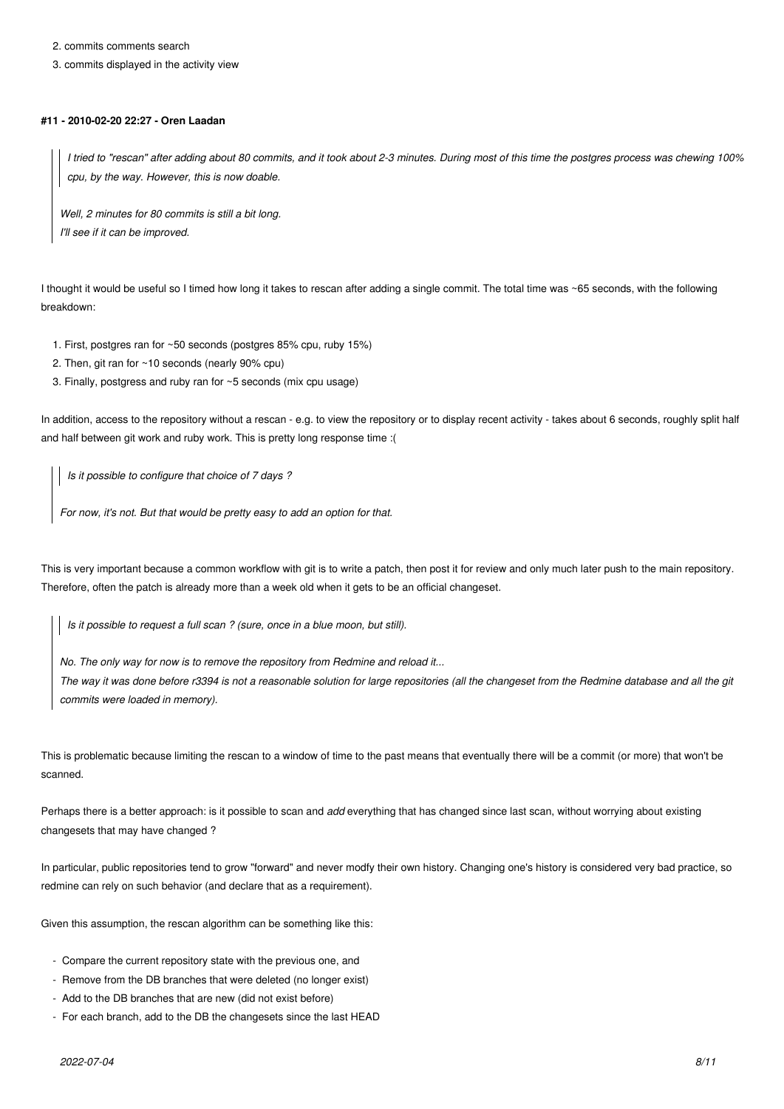2. commits comments search

3. commits displayed in the activity view

#### **#11 - 2010-02-20 22:27 - Oren Laadan**

*I tried to "rescan" after adding about 80 commits, and it took about 2-3 minutes. During most of this time the postgres process was chewing 100% cpu, by the way. However, this is now doable.*

*Well, 2 minutes for 80 commits is still a bit long. I'll see if it can be improved.*

I thought it would be useful so I timed how long it takes to rescan after adding a single commit. The total time was ~65 seconds, with the following breakdown:

- 1. First, postgres ran for ~50 seconds (postgres 85% cpu, ruby 15%)
- 2. Then, git ran for ~10 seconds (nearly 90% cpu)
- 3. Finally, postgress and ruby ran for ~5 seconds (mix cpu usage)

In addition, access to the repository without a rescan - e.g. to view the repository or to display recent activity - takes about 6 seconds, roughly split half and half between git work and ruby work. This is pretty long response time :(

*Is it possible to configure that choice of 7 days ?*

*For now, it's not. But that would be pretty easy to add an option for that.*

This is very important because a common workflow with git is to write a patch, then post it for review and only much later push to the main repository. Therefore, often the patch is already more than a week old when it gets to be an official changeset.

*Is it possible to request a full scan ? (sure, once in a blue moon, but still).*

*No. The only way for now is to remove the repository from Redmine and reload it...*

*The way it was done before r3394 is not a reasonable solution for large repositories (all the changeset from the Redmine database and all the git commits were loaded in memory).*

This is problematic because limiting the rescan to a window of time to the past means that eventually there will be a commit (or more) that won't be scanned.

Perhaps there is a better approach: is it possible to scan and *add* everything that has changed since last scan, without worrying about existing changesets that may have changed ?

In particular, public repositories tend to grow "forward" and never modfy their own history. Changing one's history is considered very bad practice, so redmine can rely on such behavior (and declare that as a requirement).

Given this assumption, the rescan algorithm can be something like this:

- Compare the current repository state with the previous one, and
- Remove from the DB branches that were deleted (no longer exist)
- Add to the DB branches that are new (did not exist before)
- For each branch, add to the DB the changesets since the last HEAD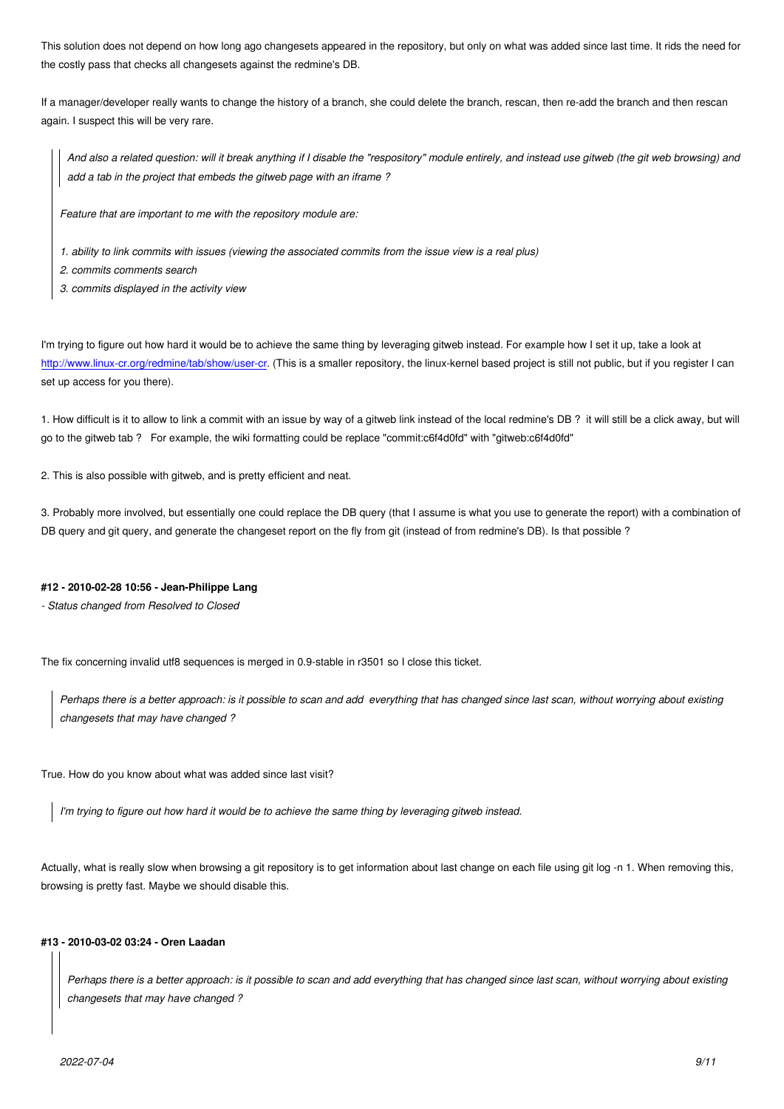the costly pass that checks all changesets against the redmine's DB.

If a manager/developer really wants to change the history of a branch, she could delete the branch, rescan, then re-add the branch and then rescan again. I suspect this will be very rare.

*And also a related question: will it break anything if I disable the "respository" module entirely, and instead use gitweb (the git web browsing) and add a tab in the project that embeds the gitweb page with an iframe ?*

*Feature that are important to me with the repository module are:*

- *1. ability to link commits with issues (viewing the associated commits from the issue view is a real plus)*
- *2. commits comments search*
- *3. commits displayed in the activity view*

I'm trying to figure out how hard it would be to achieve the same thing by leveraging gitweb instead. For example how I set it up, take a look at http://www.linux-cr.org/redmine/tab/show/user-cr. (This is a smaller repository, the linux-kernel based project is still not public, but if you register I can set up access for you there).

[1. How difficult is it to allow to link a commit with](http://www.linux-cr.org/redmine/tab/show/user-cr) an issue by way of a gitweb link instead of the local redmine's DB ? it will still be a click away, but will go to the gitweb tab ? For example, the wiki formatting could be replace "commit:c6f4d0fd" with "gitweb:c6f4d0fd"

2. This is also possible with gitweb, and is pretty efficient and neat.

3. Probably more involved, but essentially one could replace the DB query (that I assume is what you use to generate the report) with a combination of DB query and git query, and generate the changeset report on the fly from git (instead of from redmine's DB). Is that possible ?

#### **#12 - 2010-02-28 10:56 - Jean-Philippe Lang**

*- Status changed from Resolved to Closed*

The fix concerning invalid utf8 sequences is merged in 0.9-stable in r3501 so I close this ticket.

*Perhaps there is a better approach: is it possible to scan and add everything that has changed since last scan, without worrying about existing changesets that may have changed ?*

True. How do you know about what was added since last visit?

*I'm trying to figure out how hard it would be to achieve the same thing by leveraging gitweb instead.*

Actually, what is really slow when browsing a git repository is to get information about last change on each file using git log -n 1. When removing this, browsing is pretty fast. Maybe we should disable this.

#### **#13 - 2010-03-02 03:24 - Oren Laadan**

*Perhaps there is a better approach: is it possible to scan and add everything that has changed since last scan, without worrying about existing changesets that may have changed ?*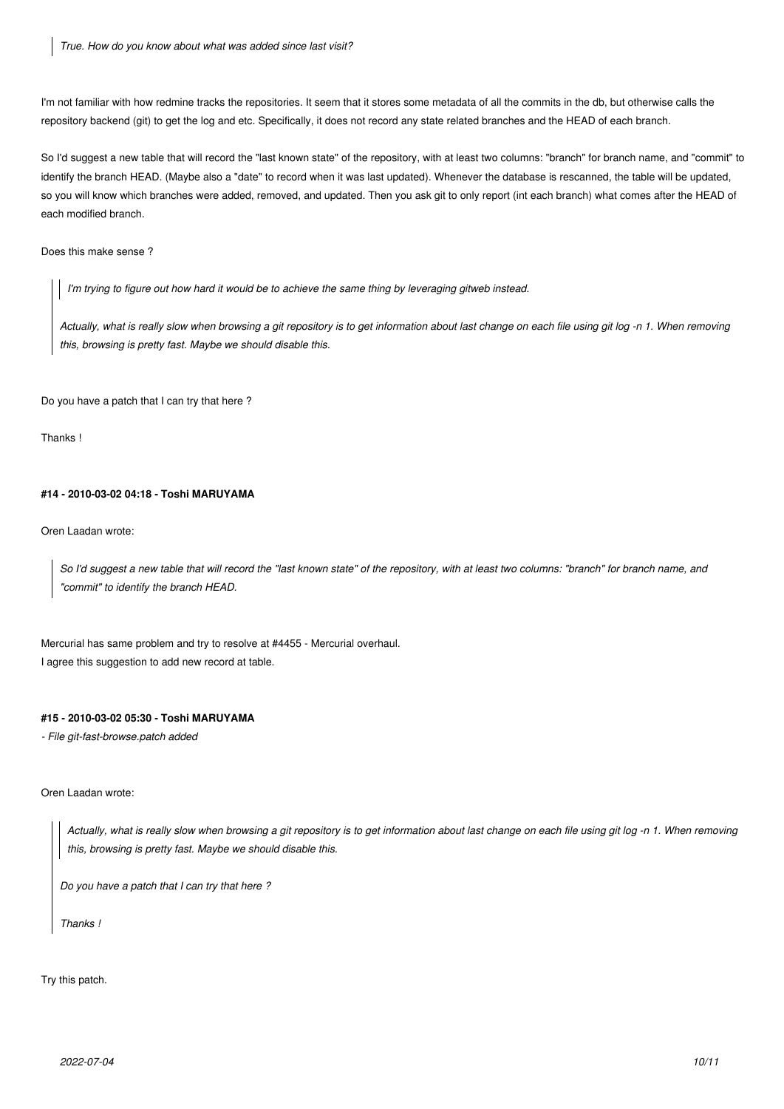I'm not familiar with how redmine tracks the repositories. It seem that it stores some metadata of all the commits in the db, but otherwise calls the repository backend (git) to get the log and etc. Specifically, it does not record any state related branches and the HEAD of each branch.

So I'd suggest a new table that will record the "last known state" of the repository, with at least two columns: "branch" for branch name, and "commit" to identify the branch HEAD. (Maybe also a "date" to record when it was last updated). Whenever the database is rescanned, the table will be updated, so you will know which branches were added, removed, and updated. Then you ask git to only report (int each branch) what comes after the HEAD of each modified branch.

Does this make sense ?

*I'm trying to figure out how hard it would be to achieve the same thing by leveraging gitweb instead.*

*Actually, what is really slow when browsing a git repository is to get information about last change on each file using git log -n 1. When removing this, browsing is pretty fast. Maybe we should disable this.*

Do you have a patch that I can try that here ?

Thanks !

#### **#14 - 2010-03-02 04:18 - Toshi MARUYAMA**

Oren Laadan wrote:

*So I'd suggest a new table that will record the "last known state" of the repository, with at least two columns: "branch" for branch name, and "commit" to identify the branch HEAD.*

Mercurial has same problem and try to resolve at #4455 - Mercurial overhaul. I agree this suggestion to add new record at table.

### **#15 - 2010-03-02 05:30 - Toshi MARUYAMA**

*- File git-fast-browse.patch added*

#### Oren Laadan wrote:

*Actually, what is really slow when browsing a git repository is to get information about last change on each file using git log -n 1. When removing this, browsing is pretty fast. Maybe we should disable this.*

*Do you have a patch that I can try that here ?*

*Thanks !*

Try this patch.